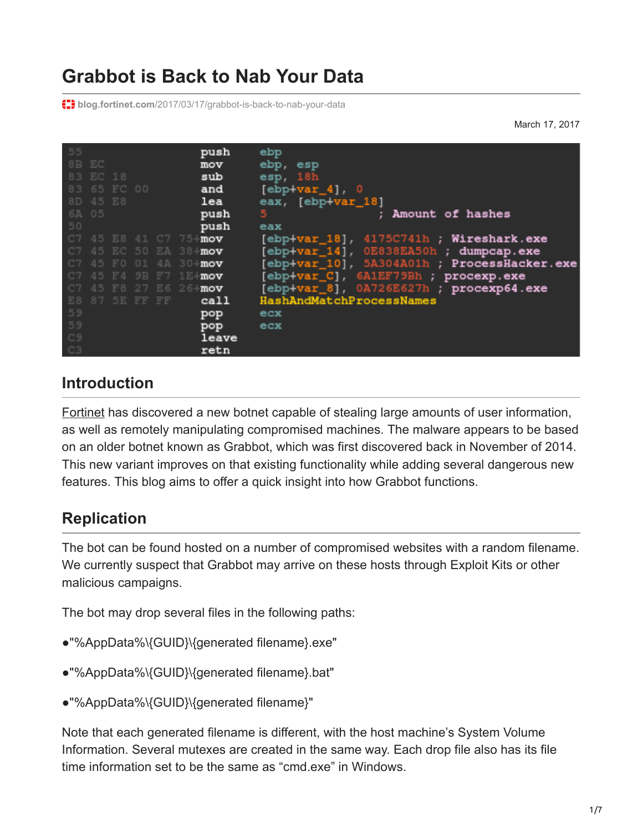# **Grabbot is Back to Nab Your Data**

**th** blog.fortinet.com[/2017/03/17/grabbot-is-back-to-nab-your-data](http://blog.fortinet.com/2017/03/17/grabbot-is-back-to-nab-your-data)

March 17, 2017



#### **Introduction**

[Fortinet](https://www.fortinet.com/fortiguard/threat-intelligence/threat-research.html) has discovered a new botnet capable of stealing large amounts of user information, as well as remotely manipulating compromised machines. The malware appears to be based on an older botnet known as Grabbot, which was first discovered back in November of 2014. This new variant improves on that existing functionality while adding several dangerous new features. This blog aims to offer a quick insight into how Grabbot functions.

## **Replication**

The bot can be found hosted on a number of compromised websites with a random filename. We currently suspect that Grabbot may arrive on these hosts through Exploit Kits or other malicious campaigns.

The bot may drop several files in the following paths:

- ●"%AppData%\{GUID}\{generated filename}.exe"
- ●"%AppData%\{GUID}\{generated filename}.bat"
- ●"%AppData%\{GUID}\{generated filename}"

Note that each generated filename is different, with the host machine's System Volume Information. Several mutexes are created in the same way. Each drop file also has its file time information set to be the same as "cmd.exe" in Windows.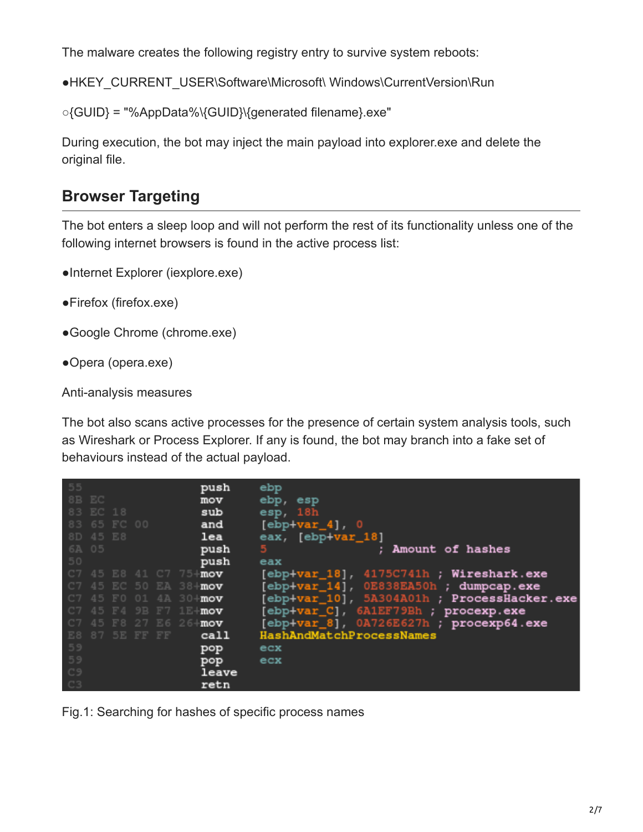The malware creates the following registry entry to survive system reboots:

●HKEY\_CURRENT\_USER\Software\Microsoft\ Windows\CurrentVersion\Run

○{GUID} = "%AppData%\{GUID}\{generated filename}.exe"

During execution, the bot may inject the main payload into explorer.exe and delete the original file.

### **Browser Targeting**

The bot enters a sleep loop and will not perform the rest of its functionality unless one of the following internet browsers is found in the active process list:

- ●Internet Explorer (iexplore.exe)
- ●Firefox (firefox.exe)
- ●Google Chrome (chrome.exe)
- ●Opera (opera.exe)

Anti-analysis measures

The bot also scans active processes for the presence of certain system analysis tools, such as Wireshark or Process Explorer. If any is found, the bot may branch into a fake set of behaviours instead of the actual payload.

| 55<br>8B EC |             |    |                | push                       | ebp                                         |
|-------------|-------------|----|----------------|----------------------------|---------------------------------------------|
| 83 EC 18    |             |    |                | mov                        | ebp, esp                                    |
|             |             |    |                | sub                        | esp, 18h                                    |
|             | 83 65 FC 00 |    |                | and                        | $[ebp+var_4], 0$                            |
| 8D 45 E8    |             |    |                | lea                        | eax, [ebp+var_18]                           |
| 6A 05       |             |    |                | push                       | 5.<br>Amount of hashes                      |
| 50          |             |    |                | push                       | eax                                         |
| C7          |             |    |                | 45 E8 41 C7 75+ <b>mov</b> | [ebp+var_18], 4175C741h ; Wireshark.exe     |
|             |             |    |                | 45 EC 50 EA 38+mov         | [ebp+var_14], OE838EA50h ; dumpcap.exe      |
|             | F0          | 01 | 4A 30          | ⊦mov                       | [ebp+var_10], 5A304A01h ; ProcessHacker.exe |
|             |             |    | 45 F4 9B F7    | 1 Hmov                     | [ebp+var_C], 6A1EF79Bh ; procexp.exe        |
|             |             |    |                | 45 F8 27 E6 26+mov         | [ebp+var_8], 0A726E627h ; procexp64.exe     |
|             |             |    | E8 87 5E FF FF | call                       | HashAndMatchProcessNames                    |
| 59          |             |    |                | pop                        | ecx                                         |
| 59          |             |    |                | pop                        | ecx                                         |
| C9          |             |    |                | leave                      |                                             |
| C3          |             |    |                | retn                       |                                             |

Fig.1: Searching for hashes of specific process names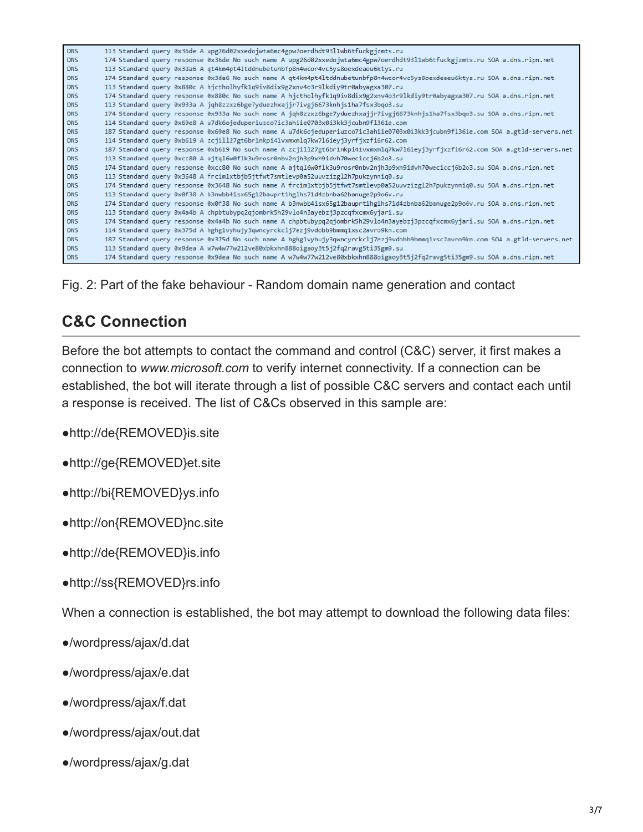| <b>DNS</b> | 113 Standard query 0x36de A upg26d02xxedojwta6mc4gpw7oerdhdt9311wb6tfuckgjzmts.ru                                               |
|------------|---------------------------------------------------------------------------------------------------------------------------------|
| <b>DNS</b> | 174 Standard query response 0x36de No such name A upg26d02xxedojwta6mc4gpw7oerdhdt9311wb6tfuckgjzmts.ru SOA a.dns.ripn.net      |
| <b>DNS</b> | 113 Standard query 0x3da6 A qt4km4pt4ltddnubetunbfp8n4wcor4vc5ys8oexdeaeu6ktys.ru                                               |
| <b>DNS</b> | 174 Standard query response 0x3da6 No such name A qt4km4pt4ltddnubetunbfp8n4wcor4vc5ys8oexdeaeu6ktys.ru SOA a.dns.ripn.net      |
| <b>DNS</b> | 113 Standard query 0x880c A hjctholhyfk1q9iv8dix9g2xnv4o3r9lkdiy9tr0abyagxa307.ru                                               |
| <b>DNS</b> | 174 Standard query response 0x880c No such name A hjctholhyfk1q9iv8dix9g2xnv4o3r9lkdiy9tr0abyagxa307.ru SOA a.dns.ripn.net      |
| <b>DNS</b> | 113 Standard query 0x933a A jqh8zzxz6bge7yduezhxajjr7ivgj6673knhjs1ha7fsx3bqo3.su                                               |
| <b>DNS</b> | 174 Standard query response 0x933a No such name A jqh8zzxz6bge7yduezhxajjr7ivgj6673knhjs1ha7fsx3bqo3.su SOA a.dns.ripn.net      |
| <b>DNS</b> | 114 Standard query 0x69e8 A u7dk6ojeduperiuzco7ic3ahiie0703x0i3kk3jcubn9f1361e.com                                              |
| <b>DNS</b> | 187 Standard query response 0x69e8 No such name A u7dk6ojeduperiuzco7ic3ahiie0703x0i3kk3jcubn9fl361e.com SOA a.gtld-servers.net |
| <b>DNS</b> | 114 Standard query 0xb619 A zcjill27gt6br1nkpi41vxmxmlq7kw7l6ieyj3yrfjxzfi6r62.com                                              |
| <b>DNS</b> | 187 Standard query response 0xb619 No such name A zcjill27gt6br1nkpi41vxmxmlq7kw7l6ieyj3yrfjxzfi6r62.com SOA a.gtld-servers.net |
| <b>DNS</b> | 113 Standard query 0xcc80 A ajtql6w0flk3u9rosr0nbv2njh3p9xh9idvh70weciccj6b2o3.su                                               |
| <b>DNS</b> | 174 Standard query response 0xcc80 No such name A ajtql6w0flk3u9rosr0nbv2njh3p9xh9idvh70weciccj6b2o3.su SOA a.dns.ripn.net      |
| <b>DNS</b> | 113 Standard query 0x3648 A frcim1xtbjb5jtfwt7smtlevp0a52uuvzizgl2h7pukzynniq0.su                                               |
| <b>DNS</b> | 174 Standard query response 0x3648 No such name A frcim1xtbjb5jtfwt7smtlevp0a52uuvzizgl2h7pukzynniq0.su SOA a.dns.ripn.net      |
| <b>DNS</b> | 113 Standard query 0x0f38 A b3nwbb4isx65g12bauprt1hglhs71d4zbnba62banuge2p9o6v.ru                                               |
| <b>DNS</b> | 174 Standard query response 0x0f38 No such name A b3nwbb4isx65g12bauprt1hglhs71d4zbnba62banuge2p9o6v.ru SOA a.dns.ripn.net      |
| <b>DNS</b> | 113 Standard query 0x4a4b A chpbtubypq2qjombrk5h29vlo4n3ayebzj3pzcqfxcmx6yjari.su                                               |
| <b>DNS</b> | 174 Standard query response 0x4a4b No such name A chpbtubypq2qjombrk5h29vlo4n3ayebzj3pzcqfxcmx6yjari.su SOA a.dns.ripn.net      |
| <b>DNS</b> | 114 Standard query 0x375d A hghg1vyhujy3qwncyrckclj7ezj9vdobb9bmmq1xsc2avro9kn.com                                              |
| <b>DNS</b> | 187 Standard query response 0x375d No such name A hghg1vyhujy3qwncyrckclj7ezj9vdobb9bmmq1xsc2avro9kn.com SOA a.gtld-servers.net |
| <b>DNS</b> | 113 Standard query 0x9dea A w7w4w77w212ve80xbkxhn888oigaoy3t5j2fq2ravg5ti35gm9.su                                               |
| <b>DNS</b> | 174 Standard query response 0x9dea No such name A w7w4w77w212ve80xbkxhn888oigaoy3t5j2fq2ravg5ti35gm9.su SOA a.dns.ripn.net      |

Fig. 2: Part of the fake behaviour - Random domain name generation and contact

# **C&C Connection**

Before the bot attempts to contact the command and control (C&C) server, it first makes a connection to *www.microsoft.com* to verify internet connectivity. If a connection can be established, the bot will iterate through a list of possible C&C servers and contact each until a response is received. The list of C&Cs observed in this sample are:

●http://de{REMOVED}is.site

●http://ge{REMOVED}et.site

●http://bi{REMOVED}ys.info

●http://on{REMOVED}nc.site

●http://de{REMOVED}is.info

●http://ss{REMOVED}rs.info

When a connection is established, the bot may attempt to download the following data files:

- ●/wordpress/ajax/d.dat
- ●/wordpress/ajax/e.dat
- ●/wordpress/ajax/f.dat
- ●/wordpress/ajax/out.dat
- ●/wordpress/ajax/g.dat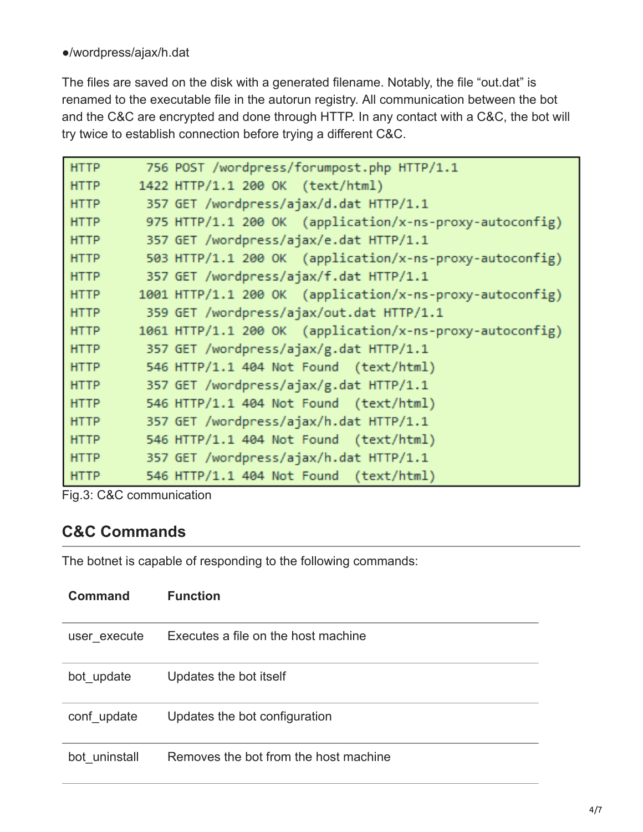#### ●/wordpress/ajax/h.dat

The files are saved on the disk with a generated filename. Notably, the file "out.dat" is renamed to the executable file in the autorun registry. All communication between the bot and the C&C are encrypted and done through HTTP. In any contact with a C&C, the bot will try twice to establish connection before trying a different C&C.

| <b>HTTP</b> | 756 POST /wordpress/forumpost.php HTTP/1.1               |
|-------------|----------------------------------------------------------|
| <b>HTTP</b> | 1422 HTTP/1.1 200 OK (text/html)                         |
| <b>HTTP</b> | 357 GET /wordpress/ajax/d.dat HTTP/1.1                   |
| <b>HTTP</b> | 975 HTTP/1.1 200 OK (application/x-ns-proxy-autoconfig)  |
| <b>HTTP</b> | 357 GET /wordpress/ajax/e.dat HTTP/1.1                   |
| <b>HTTP</b> | 503 HTTP/1.1 200 OK (application/x-ns-proxy-autoconfig)  |
| <b>HTTP</b> | 357 GET /wordpress/ajax/f.dat HTTP/1.1                   |
| <b>HTTP</b> | 1001 HTTP/1.1 200 OK (application/x-ns-proxy-autoconfig) |
| <b>HTTP</b> | 359 GET /wordpress/ajax/out.dat HTTP/1.1                 |
| <b>HTTP</b> | 1061 HTTP/1.1 200 OK (application/x-ns-proxy-autoconfig) |
| <b>HTTP</b> | 357 GET /wordpress/ajax/g.dat HTTP/1.1                   |
| <b>HTTP</b> | 546 HTTP/1.1 404 Not Found (text/html)                   |
| <b>HTTP</b> | 357 GET /wordpress/ajax/g.dat HTTP/1.1                   |
| <b>HTTP</b> | 546 HTTP/1.1 404 Not Found (text/html)                   |
| <b>HTTP</b> | 357 GET /wordpress/ajax/h.dat HTTP/1.1                   |
| <b>HTTP</b> | 546 HTTP/1.1 404 Not Found (text/html)                   |
| <b>HTTP</b> | 357 GET /wordpress/ajax/h.dat HTTP/1.1                   |
| <b>HTTP</b> | 546 HTTP/1.1 404 Not Found (text/html)                   |

Fig.3: C&C communication

#### **C&C Commands**

The botnet is capable of responding to the following commands:

| <b>Command</b> | <b>Function</b>                       |
|----------------|---------------------------------------|
| user execute   | Executes a file on the host machine   |
| bot_update     | Updates the bot itself                |
| conf update    | Updates the bot configuration         |
| bot uninstall  | Removes the bot from the host machine |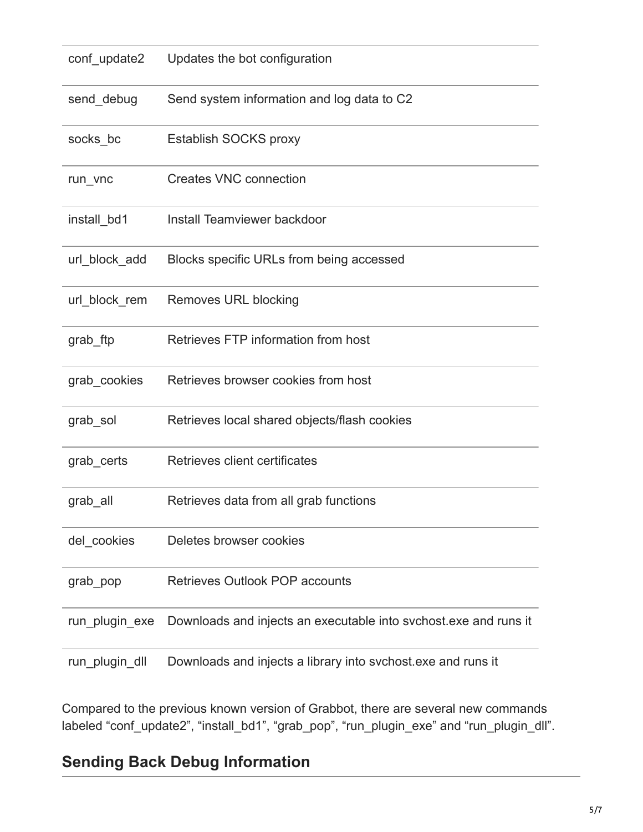| conf_update2   | Updates the bot configuration                                    |  |  |  |  |  |  |
|----------------|------------------------------------------------------------------|--|--|--|--|--|--|
| send_debug     | Send system information and log data to C2                       |  |  |  |  |  |  |
| socks_bc       | Establish SOCKS proxy                                            |  |  |  |  |  |  |
| run_vnc        | <b>Creates VNC connection</b>                                    |  |  |  |  |  |  |
| install_bd1    | Install Teamviewer backdoor                                      |  |  |  |  |  |  |
| url block add  | Blocks specific URLs from being accessed                         |  |  |  |  |  |  |
| url_block_rem  | Removes URL blocking                                             |  |  |  |  |  |  |
| grab_ftp       | Retrieves FTP information from host                              |  |  |  |  |  |  |
| grab_cookies   | Retrieves browser cookies from host                              |  |  |  |  |  |  |
| grab_sol       | Retrieves local shared objects/flash cookies                     |  |  |  |  |  |  |
| grab_certs     | Retrieves client certificates                                    |  |  |  |  |  |  |
| grab_all       | Retrieves data from all grab functions                           |  |  |  |  |  |  |
| del_cookies    | Deletes browser cookies                                          |  |  |  |  |  |  |
| grab_pop       | <b>Retrieves Outlook POP accounts</b>                            |  |  |  |  |  |  |
| run_plugin_exe | Downloads and injects an executable into svchost exe and runs it |  |  |  |  |  |  |
| run_plugin_dll | Downloads and injects a library into svchost exe and runs it     |  |  |  |  |  |  |

Compared to the previous known version of Grabbot, there are several new commands labeled "conf\_update2", "install\_bd1", "grab\_pop", "run\_plugin\_exe" and "run\_plugin\_dll".

# **Sending Back Debug Information**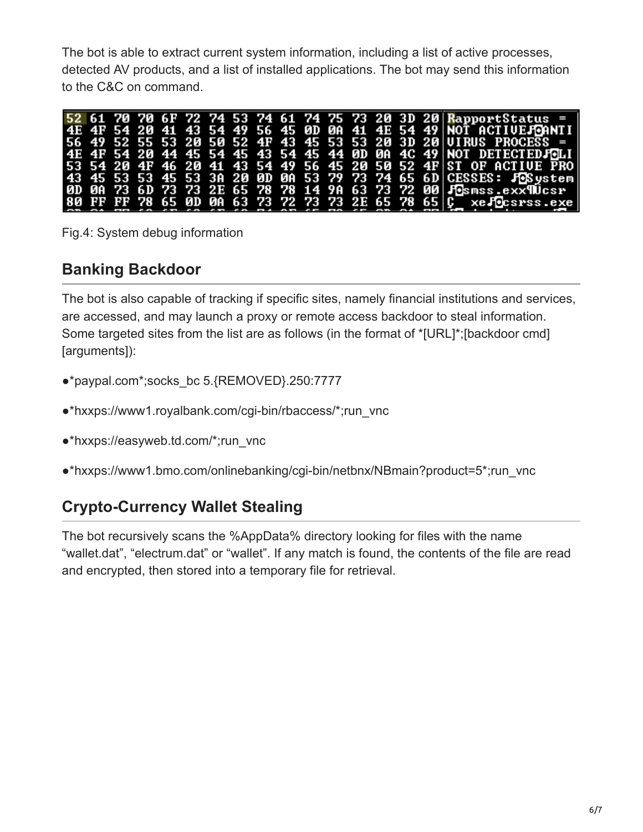The bot is able to extract current system information, including a list of active processes, detected AV products, and a list of installed applications. The bot may send this information to the C&C on command.

|  |  |  |  |  |  |  | 52 61 70 70 6F 72 74 53 74 61 74 75 73 20 3D 20 RapportStatus =   |
|--|--|--|--|--|--|--|-------------------------------------------------------------------|
|  |  |  |  |  |  |  | 4E 4F 54 20 41 43 54 49 56 45 0D 0A 41 4E 54 49 NOT ACTIVE FORNTI |
|  |  |  |  |  |  |  | 56 49 52 55 53 20 50 52 4F 43 45 53 53 20 3D 20 UIRUS PROCESS =   |
|  |  |  |  |  |  |  | 4E 4F 54 20 44 45 54 45 43 54 45 44 0D 0A 4C 49 NOT DETECTEDJOLI  |
|  |  |  |  |  |  |  | 53 54 20 4F 46 20 41 43 54 49 56 45 20 50 52 4F ST OF ACTIVE PRO  |
|  |  |  |  |  |  |  | 43 45 53 53 45 53 3A 20 0D 0A 53 79 73 74 65 6D CESSES: JOSystem  |
|  |  |  |  |  |  |  | 0D 0A 73 6D 73 73 2E 65 78 78 14 9A 63 73 72 00 Fosmss.exx900csr  |
|  |  |  |  |  |  |  | 80 FF FF 78 65 0D 00 63 73 72 73 73 2E 65 78 65 C xelecsrss.exe   |

Fig.4: System debug information

### **Banking Backdoor**

The bot is also capable of tracking if specific sites, namely financial institutions and services, are accessed, and may launch a proxy or remote access backdoor to steal information. Some targeted sites from the list are as follows (in the format of \*[URL]\*;[backdoor cmd] [arguments]):

- ●\*paypal.com\*;socks\_bc 5.{REMOVED}.250:7777
- ●\*hxxps://www1.royalbank.com/cgi-bin/rbaccess/\*;run\_vnc
- ●\*hxxps://easyweb.td.com/\*;run\_vnc
- ●\*hxxps://www1.bmo.com/onlinebanking/cgi-bin/netbnx/NBmain?product=5\*;run\_vnc

## **Crypto-Currency Wallet Stealing**

The bot recursively scans the %AppData% directory looking for files with the name "wallet.dat", "electrum.dat" or "wallet". If any match is found, the contents of the file are read and encrypted, then stored into a temporary file for retrieval.